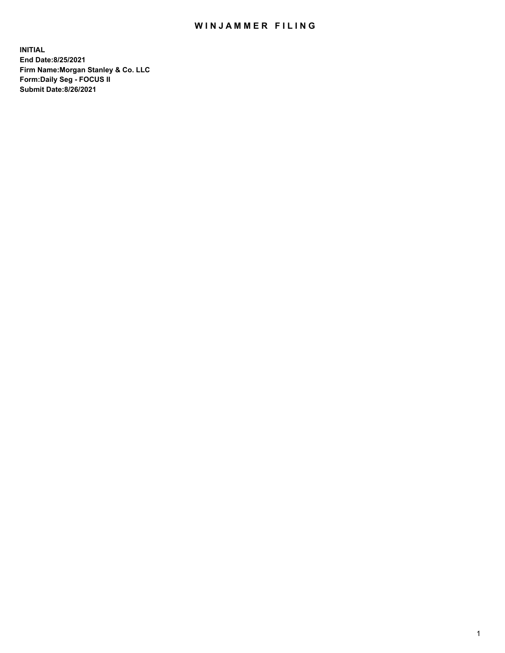## WIN JAMMER FILING

**INITIAL End Date:8/25/2021 Firm Name:Morgan Stanley & Co. LLC Form:Daily Seg - FOCUS II Submit Date:8/26/2021**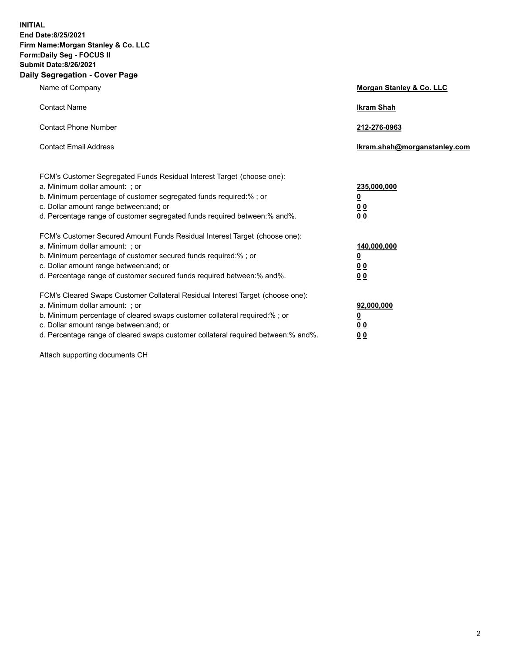**INITIAL End Date:8/25/2021 Firm Name:Morgan Stanley & Co. LLC Form:Daily Seg - FOCUS II Submit Date:8/26/2021 Daily Segregation - Cover Page**

| Name of Company                                                                                                                                                                                                                                                                                                               | <b>Morgan Stanley &amp; Co. LLC</b>                         |
|-------------------------------------------------------------------------------------------------------------------------------------------------------------------------------------------------------------------------------------------------------------------------------------------------------------------------------|-------------------------------------------------------------|
| <b>Contact Name</b>                                                                                                                                                                                                                                                                                                           | <b>Ikram Shah</b>                                           |
| <b>Contact Phone Number</b>                                                                                                                                                                                                                                                                                                   | 212-276-0963                                                |
| <b>Contact Email Address</b>                                                                                                                                                                                                                                                                                                  | Ikram.shah@morganstanley.com                                |
| FCM's Customer Segregated Funds Residual Interest Target (choose one):<br>a. Minimum dollar amount: ; or<br>b. Minimum percentage of customer segregated funds required:% ; or<br>c. Dollar amount range between: and; or<br>d. Percentage range of customer segregated funds required between:% and%.                        | 235,000,000<br><u>0</u><br><u>00</u><br>00                  |
| FCM's Customer Secured Amount Funds Residual Interest Target (choose one):<br>a. Minimum dollar amount: ; or<br>b. Minimum percentage of customer secured funds required:%; or<br>c. Dollar amount range between: and; or<br>d. Percentage range of customer secured funds required between:% and%.                           | 140,000,000<br><u>0</u><br>0 <sub>0</sub><br>0 <sub>0</sub> |
| FCM's Cleared Swaps Customer Collateral Residual Interest Target (choose one):<br>a. Minimum dollar amount: ; or<br>b. Minimum percentage of cleared swaps customer collateral required:%; or<br>c. Dollar amount range between: and; or<br>d. Percentage range of cleared swaps customer collateral required between:% and%. | 92,000,000<br><u>0</u><br><u>00</u><br>0 <sup>0</sup>       |

Attach supporting documents CH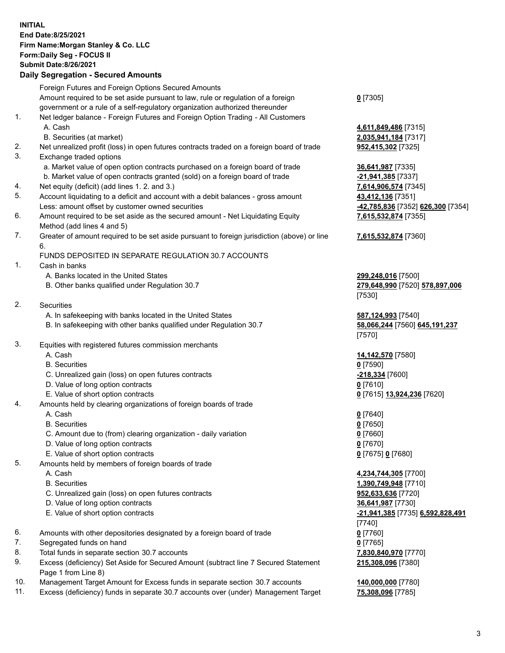## **INITIAL End Date:8/25/2021 Firm Name:Morgan Stanley & Co. LLC Form:Daily Seg - FOCUS II Submit Date:8/26/2021**

## **Daily Segregation - Secured Amounts**

Foreign Futures and Foreign Options Secured Amounts Amount required to be set aside pursuant to law, rule or regulation of a foreign government or a rule of a self-regulatory organization authorized thereunder **0** [7305] 1. Net ledger balance - Foreign Futures and Foreign Option Trading - All Customers A. Cash **4,611,849,486** [7315] B. Securities (at market) **2,035,941,184** [7317] 2. Net unrealized profit (loss) in open futures contracts traded on a foreign board of trade **952,415,302** [7325] 3. Exchange traded options a. Market value of open option contracts purchased on a foreign board of trade **36,641,987** [7335] b. Market value of open contracts granted (sold) on a foreign board of trade **-21,941,385** [7337] 4. Net equity (deficit) (add lines 1. 2. and 3.) **7,614,906,574** [7345] 5. Account liquidating to a deficit and account with a debit balances - gross amount **43,412,136** [7351] Less: amount offset by customer owned securities **-42,785,836** [7352] **626,300** [7354] 6. Amount required to be set aside as the secured amount - Net Liquidating Equity Method (add lines 4 and 5) 7. Greater of amount required to be set aside pursuant to foreign jurisdiction (above) or line 6. FUNDS DEPOSITED IN SEPARATE REGULATION 30.7 ACCOUNTS 1. Cash in banks A. Banks located in the United States **299,248,016** [7500] B. Other banks qualified under Regulation 30.7 **279,648,990** [7520] **578,897,006** [7530] 2. Securities A. In safekeeping with banks located in the United States **587,124,993** [7540] B. In safekeeping with other banks qualified under Regulation 30.7 **58,066,244** [7560] **645,191,237** [7570] 3. Equities with registered futures commission merchants A. Cash **14,142,570** [7580] B. Securities **0** [7590] C. Unrealized gain (loss) on open futures contracts **-218,334** [7600] D. Value of long option contracts **0** [7610] E. Value of short option contracts **0** [7615] **13,924,236** [7620] 4. Amounts held by clearing organizations of foreign boards of trade A. Cash **0** [7640] B. Securities **0** [7650] C. Amount due to (from) clearing organization - daily variation **0** [7660] D. Value of long option contracts **0** [7670] E. Value of short option contracts **0** [7675] **0** [7680] 5. Amounts held by members of foreign boards of trade A. Cash **4,234,744,305** [7700] B. Securities **1,390,749,948** [7710] C. Unrealized gain (loss) on open futures contracts **952,633,636** [7720] D. Value of long option contracts **36,641,987** [7730] E. Value of short option contracts **-21,941,385** [7735] **6,592,828,491** [7740] 6. Amounts with other depositories designated by a foreign board of trade **0** [7760] 7. Segregated funds on hand **0** [7765] 8. Total funds in separate section 30.7 accounts **7,830,840,970** [7770] 9. Excess (deficiency) Set Aside for Secured Amount (subtract line 7 Secured Statement Page 1 from Line 8)

- 10. Management Target Amount for Excess funds in separate section 30.7 accounts **140,000,000** [7780]
- 11. Excess (deficiency) funds in separate 30.7 accounts over (under) Management Target **75,308,096** [7785]

**7,615,532,874** [7355]

## **7,615,532,874** [7360]

**215,308,096** [7380]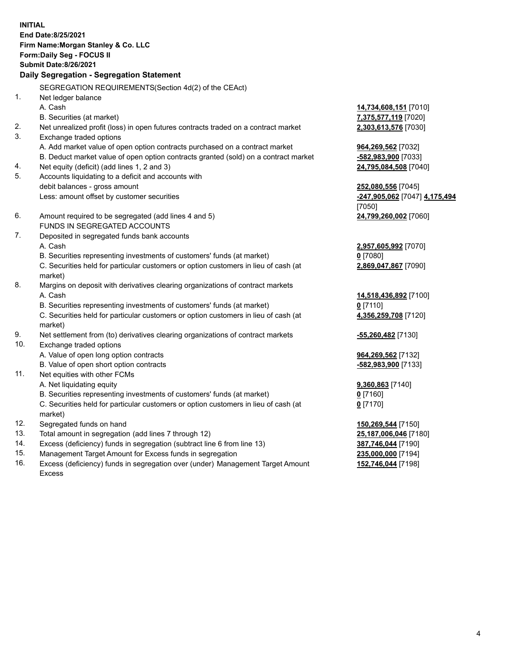**INITIAL End Date:8/25/2021 Firm Name:Morgan Stanley & Co. LLC Form:Daily Seg - FOCUS II Submit Date:8/26/2021 Daily Segregation - Segregation Statement** SEGREGATION REQUIREMENTS(Section 4d(2) of the CEAct) 1. Net ledger balance A. Cash **14,734,608,151** [7010] B. Securities (at market) **7,375,577,119** [7020] 2. Net unrealized profit (loss) in open futures contracts traded on a contract market **2,303,613,576** [7030] 3. Exchange traded options A. Add market value of open option contracts purchased on a contract market **964,269,562** [7032] B. Deduct market value of open option contracts granted (sold) on a contract market **-582,983,900** [7033] 4. Net equity (deficit) (add lines 1, 2 and 3) **24,795,084,508** [7040] 5. Accounts liquidating to a deficit and accounts with debit balances - gross amount **252,080,556** [7045] Less: amount offset by customer securities **-247,905,062** [7047] **4,175,494** [7050] 6. Amount required to be segregated (add lines 4 and 5) **24,799,260,002** [7060] FUNDS IN SEGREGATED ACCOUNTS 7. Deposited in segregated funds bank accounts A. Cash **2,957,605,992** [7070] B. Securities representing investments of customers' funds (at market) **0** [7080] C. Securities held for particular customers or option customers in lieu of cash (at market) **2,869,047,867** [7090] 8. Margins on deposit with derivatives clearing organizations of contract markets A. Cash **14,518,436,892** [7100] B. Securities representing investments of customers' funds (at market) **0** [7110] C. Securities held for particular customers or option customers in lieu of cash (at market) **4,356,259,708** [7120] 9. Net settlement from (to) derivatives clearing organizations of contract markets **-55,260,482** [7130] 10. Exchange traded options A. Value of open long option contracts **964,269,562** [7132] B. Value of open short option contracts **and the set of our original contracts -582,983,900** [7133] 11. Net equities with other FCMs A. Net liquidating equity **9,360,863** [7140] B. Securities representing investments of customers' funds (at market) **0** [7160] C. Securities held for particular customers or option customers in lieu of cash (at market) **0** [7170] 12. Segregated funds on hand **150,269,544** [7150] 13. Total amount in segregation (add lines 7 through 12) **25,187,006,046** [7180] 14. Excess (deficiency) funds in segregation (subtract line 6 from line 13) **387,746,044** [7190] 15. Management Target Amount for Excess funds in segregation **235,000,000** [7194]

16. Excess (deficiency) funds in segregation over (under) Management Target Amount Excess

**152,746,044** [7198]